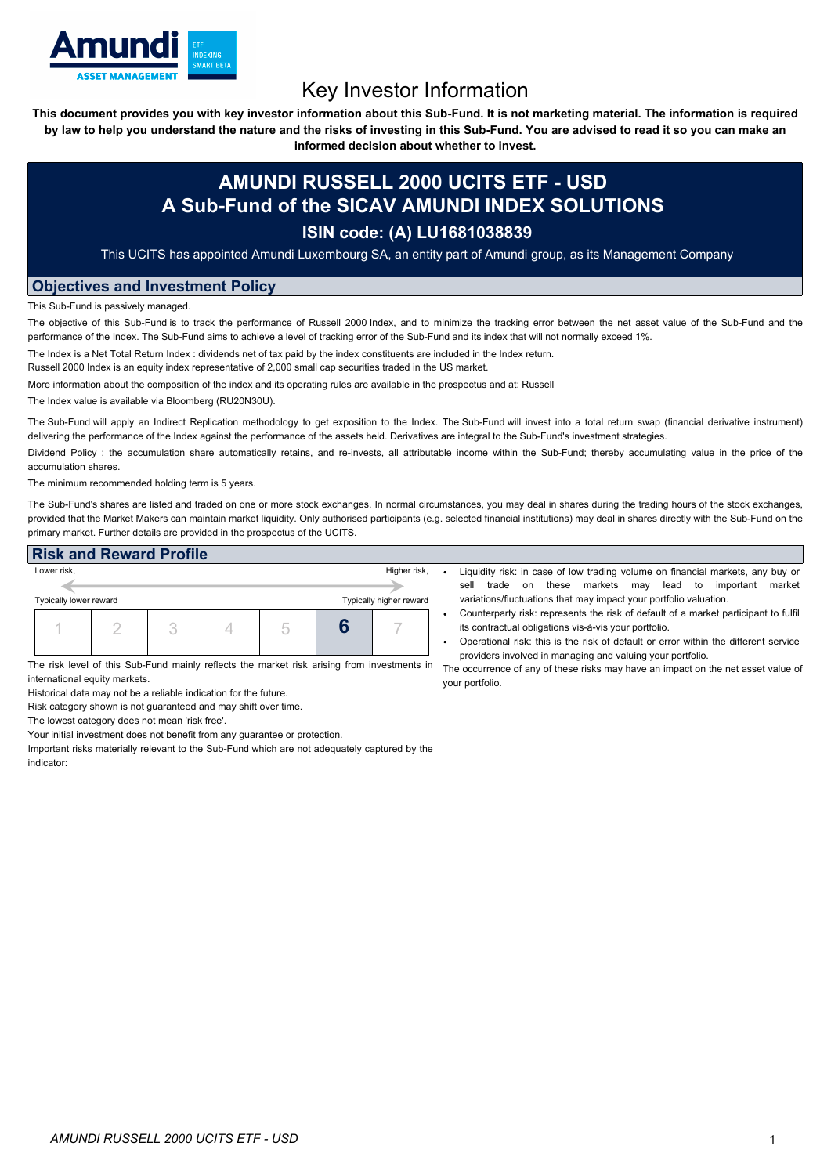

## Key Investor Information

This document provides you with key investor information about this Sub-Fund. It is not marketing material. The information is required by law to help you understand the nature and the risks of investing in this Sub-Fund. You are advised to read it so you can make an

**informed decision about whether to invest.**

## **AMUNDI RUSSELL 2000 UCITS ETF - USD A Sub-Fund of the SICAV AMUNDI INDEX SOLUTIONS**

## **ISIN code: (A) LU1681038839**

This UCITS has appointed Amundi Luxembourg SA, an entity part of Amundi group, as its Management Company

## **Objectives and Investment Policy**

This Sub-Fund is passively managed.

The objective of this Sub-Fund is to track the performance of Russell 2000 Index, and to minimize the tracking error between the net asset value of the Sub-Fund and the performance of the Index. The Sub-Fund aims to achieve a level of tracking error of the Sub-Fund and its index that will not normally exceed 1%.

The Index is a Net Total Return Index : dividends net of tax paid by the index constituents are included in the Index return.

Russell 2000 Index is an equity index representative of 2,000 small cap securities traded in the US market.

More information about the composition of the index and its operating rules are available in the prospectus and at: Russell

The Index value is available via Bloomberg (RU20N30U).

The Sub-Fund will apply an Indirect Replication methodology to get exposition to the Index. The Sub-Fund will invest into a total return swap (financial derivative instrument) delivering the performance of the Index against the performance of the assets held. Derivatives are integral to the Sub-Fund's investment strategies.

Dividend Policy: the accumulation share automatically retains, and re-invests, all attributable income within the Sub-Fund; thereby accumulating value in the price of the accumulation shares.

The minimum recommended holding term is 5 years.

The Sub-Fund's shares are listed and traded on one or more stock exchanges. In normal circumstances, you may deal in shares during the trading hours of the stock exchanges, provided that the Market Makers can maintain market liquidity. Only authorised participants (e.g. selected financial institutions) may deal in shares directly with the Sub-Fund on the primary market. Further details are provided in the prospectus of the UCITS.

| <b>Risk and Reward Profile</b>                    |  |              |  |  |  |  |  |
|---------------------------------------------------|--|--------------|--|--|--|--|--|
| Lower risk,                                       |  | Higher risk, |  |  |  |  |  |
|                                                   |  |              |  |  |  |  |  |
| Typically lower reward<br>Typically higher reward |  |              |  |  |  |  |  |
|                                                   |  |              |  |  |  |  |  |
|                                                   |  |              |  |  |  |  |  |

The risk level of this Sub-Fund mainly reflects the market risk arising from investments in international equity markets.

Historical data may not be a reliable indication for the future.

Risk category shown is not guaranteed and may shift over time.

The lowest category does not mean 'risk free'.

Your initial investment does not benefit from any guarantee or protection.

Important risks materially relevant to the Sub-Fund which are not adequately captured by the indicator:

- Liquidity risk: in case of low trading volume on financial markets, any buy or sell trade on these markets may lead to important market variations/fluctuations that may impact your portfolio valuation.
- Counterparty risk: represents the risk of default of a market participant to fulfil its contractual obligations vis-à-vis your portfolio.
- Operational risk: this is the risk of default or error within the different service providers involved in managing and valuing your portfolio.

The occurrence of any of these risks may have an impact on the net asset value of your portfolio.